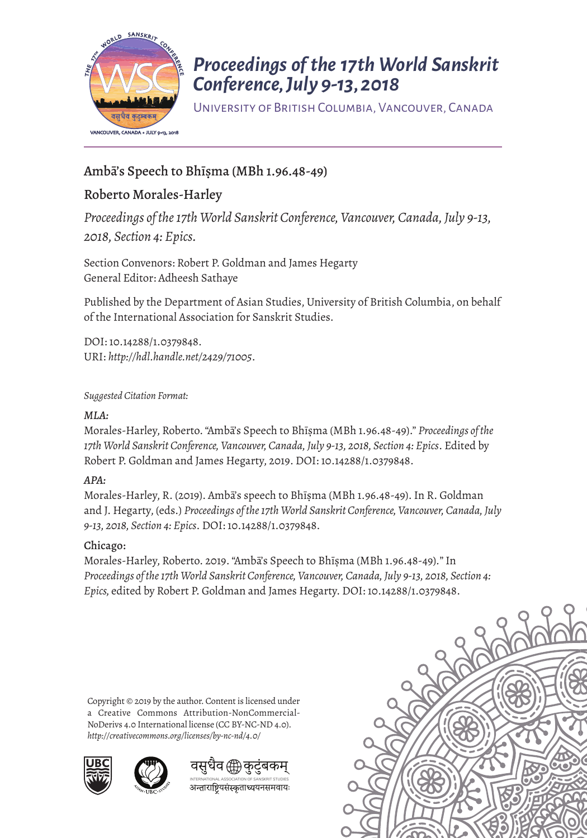

# *Proceedings of the 17th World Sanskrit Conference, July 9-13, 2018*

University of British Columbia, Vancouver, Canada

## Amba's Speech to Bhisma (MBh 1.96.48-49)

# Roberto Morales-Harley

*Proceedings of the 17th World Sanskrit Conference, Vancouver, Canada, July 9-13, 2018, Section 4: Epics.* 

Section Convenors: Robert P. Goldman and James Hegarty General Editor: Adheesh Sathaye

Published by the Department of Asian Studies, University of British Columbia, on behalf of the International Association for Sanskrit Studies.

DOI: 10.14288/1.0379848. URI: *<http://hdl.handle.net/2429/71005>*.

*Suggested Citation Format:* 

#### *MLA:*

Morales-Harley, Roberto. "Amba's Speech to Bhisma (MBh 1.96.48-49)." Proceedings of the *17th World Sanskrit Conference, Vancouver, Canada, July 9-13, 2018, Section 4: Epics*. Edited by Robert P. Goldman and James Hegarty, 2019. DOI: 10.14288/1.0379848.

#### *APA:*

Morales-Harley, R. (2019). Amba's speech to Bhīṣma (MBh 1.96.48-49). In R. Goldman and J. Hegarty, (eds.) *Proceedings of the 17th World Sanskrit Conference, Vancouver, Canada, July 9-13, 2018, Section 4: Epics*. DOI: 10.14288/1.0379848.

#### Chicago:

Morales-Harley, Roberto. 2019. "Amba's Speech to Bhisma (MBh 1.96.48-49)." In *Proceedings of the 17th World Sanskrit Conference, Vancouver, Canada, July 9-13, 2018, Section 4: Epics,* edited by Robert P. Goldman and James Hegarty. DOI: 10.14288/1.0379848.

Copyright © 2019 by the author. Content is licensed under a Creative Commons Attribution-NonCommercial-NoDerivs 4.0 International license (CC BY-NC-ND 4.0). *http://creativecommons.org/licenses/by-nc-nd/4.0/*







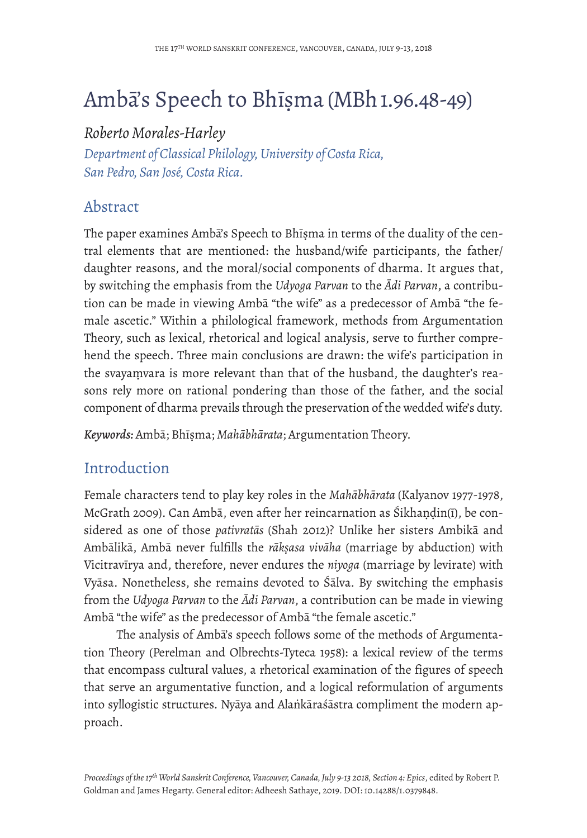# Ambā's Speech to Bhīṣma (MBh 1.96.48-49)

# *Roberto Morales-Harley*

*Department of Classical Philology, University of Costa Rica, San Pedro, San José, Costa Rica.* 

# Abstract

The paper examines Ambā's Speech to Bhīṣma in terms of the duality of the central elements that are mentioned: the husband/wife participants, the father/ daughter reasons, and the moral/social components of dharma. It argues that, by switching the emphasis from the *Udyoga Parvan* to the *Ādi Parvan*, a contribution can be made in viewing Ambā "the wife" as a predecessor of Ambā "the female ascetic." Within a philological framework, methods from Argumentation Theory, such as lexical, rhetorical and logical analysis, serve to further comprehend the speech. Three main conclusions are drawn: the wife's participation in the svayaṃvara is more relevant than that of the husband, the daughter's reasons rely more on rational pondering than those of the father, and the social component of dharma prevails through the preservation of the wedded wife's duty.

*Keywords:* Ambā; Bhīṣma; *Mahābhārata*; Argumentation Theory.

# Introduction

Female characters tend to play key roles in the *Mahābhārata* (Kalyanov 1977-1978, McGrath 2009). Can Ambā, even after her reincarnation as Śikhaṇḍin(ī), be considered as one of those *pativratās* (Shah 2012)? Unlike her sisters Ambikā and Ambālikā, Ambā never fulfills the *rākṣasa vivāha* (marriage by abduction) with Vicitravīrya and, therefore, never endures the *niyoga* (marriage by levirate) with Vyāsa. Nonetheless, she remains devoted to Śālva. By switching the emphasis from the *Udyoga Parvan* to the *Ādi Parvan*, a contribution can be made in viewing Ambā "the wife" as the predecessor of Ambā "the female ascetic."

The analysis of Ambā's speech follows some of the methods of Argumentation Theory (Perelman and Olbrechts-Tyteca 1958): a lexical review of the terms that encompass cultural values, a rhetorical examination of the figures of speech that serve an argumentative function, and a logical reformulation of arguments into syllogistic structures. Nyāya and Alaṅkāraśāstra compliment the modern approach.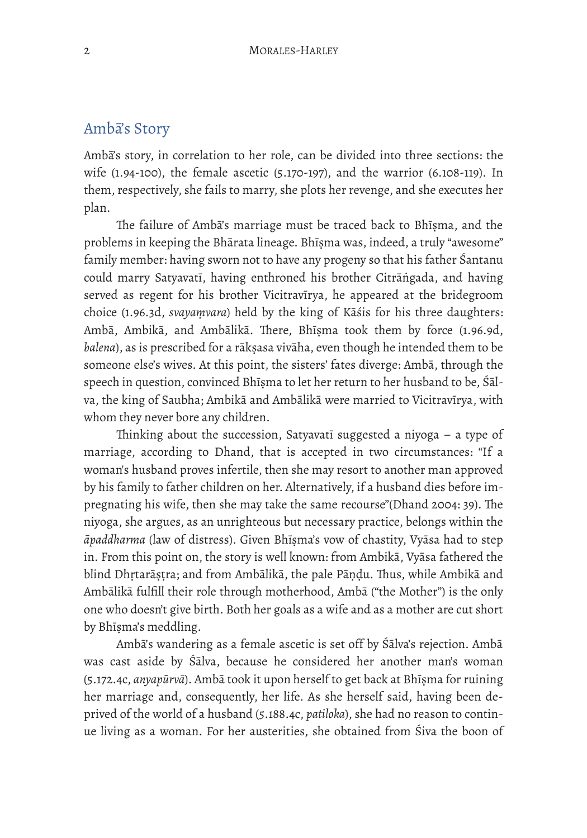### Ambā's Story

Ambā's story, in correlation to her role, can be divided into three sections: the wife (1.94-100), the female ascetic (5.170-197), and the warrior (6.108-119). In them, respectively, she fails to marry, she plots her revenge, and she executes her plan.

The failure of Amba's marriage must be traced back to Bhīșma, and the problems in keeping the Bhārata lineage. Bhīṣma was, indeed, a truly "awesome" family member: having sworn not to have any progeny so that his father Śantanu could marry Satyavatī, having enthroned his brother Citrāṅgada, and having served as regent for his brother Vicitravīrya, he appeared at the bridegroom choice (1.96.3d, *svayaṃvara*) held by the king of Kāśis for his three daughters: Ambā, Ambikā, and Ambālikā. There, Bhīṣma took them by force (1.96.9d, *balena*), as is prescribed for a rākṣasa vivāha, even though he intended them to be someone else's wives. At this point, the sisters' fates diverge: Ambā, through the speech in question, convinced Bhīṣma to let her return to her husband to be, Śālva, the king of Saubha; Ambikā and Ambālikā were married to Vicitravīrya, with whom they never bore any children.

Thinking about the succession, Satyavatī suggested a niyoga  $-$  a type of marriage, according to Dhand, that is accepted in two circumstances: "If a woman's husband proves infertile, then she may resort to another man approved by his family to father children on her. Alternatively, if a husband dies before impregnating his wife, then she may take the same recourse"(Dhand 2004: 39). The niyoga, she argues, as an unrighteous but necessary practice, belongs within the *āpaddharma* (law of distress). Given Bhīṣma's vow of chastity, Vyāsa had to step in. From this point on, the story is well known: from Ambikā, Vyāsa fathered the blind Dhṛtarāṣṭra; and from Ambālikā, the pale Pāṇḍu. Tus, while Ambikā and Ambālikā fulfill their role through motherhood, Ambā ("the Mother") is the only one who doesn't give birth. Both her goals as a wife and as a mother are cut short by Bhīsma's meddling.

Ambā's wandering as a female ascetic is set off by Śālva's rejection. Ambā was cast aside by Śālva, because he considered her another man's woman (5.172.4c, *anyapūrvā*). Ambā took it upon herself to get back at Bhīṣma for ruining her marriage and, consequently, her life. As she herself said, having been deprived of the world of a husband (5.188.4c, *patiloka*), she had no reason to continue living as a woman. For her austerities, she obtained from Śiva the boon of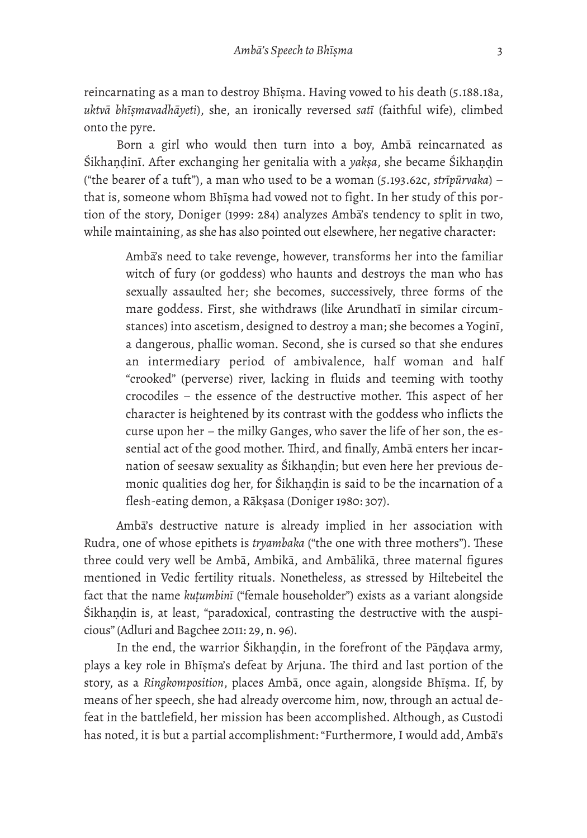reincarnating as a man to destroy Bhīṣma. Having vowed to his death (5.188.18a, *uktvā bhīṣmavadhāyeti*), she, an ironically reversed *satī* (faithful wife), climbed onto the pyre.

Born a girl who would then turn into a boy, Ambā reincarnated as Śikhaṇḍinī. After exchanging her genitalia with a *yakṣa*, she became Śikhaṇḍin ("the bearer of a tuft"), a man who used to be a woman (5.193.62c, *strīpūrvaka*) – that is, someone whom Bhīṣma had vowed not to fight. In her study of this portion of the story, Doniger (1999: 284) analyzes Ambā's tendency to split in two, while maintaining, as she has also pointed out elsewhere, her negative character:

Ambā's need to take revenge, however, transforms her into the familiar witch of fury (or goddess) who haunts and destroys the man who has sexually assaulted her; she becomes, successively, three forms of the mare goddess. First, she withdraws (like Arundhatī in similar circumstances) into ascetism, designed to destroy a man; she becomes a Yoginī, a dangerous, phallic woman. Second, she is cursed so that she endures an intermediary period of ambivalence, half woman and half "crooked" (perverse) river, lacking in fluids and teeming with toothy crocodiles – the essence of the destructive mother. This aspect of her character is heightened by its contrast with the goddess who inflicts the curse upon her – the milky Ganges, who saver the life of her son, the essential act of the good mother. Third, and finally, Amba enters her incarnation of seesaw sexuality as Śikhaṇḍin; but even here her previous demonic qualities dog her, for Śikhaṇḍin is said to be the incarnation of a flesh-eating demon, a Rākṣasa (Doniger 1980: 307).

Ambā's destructive nature is already implied in her association with Rudra, one of whose epithets is *tryambaka* ("the one with three mothers"). These three could very well be Ambā, Ambikā, and Ambālikā, three maternal figures mentioned in Vedic fertility rituals. Nonetheless, as stressed by Hiltebeitel the fact that the name *kuṭumbinī* ("female householder") exists as a variant alongside Śikhaṇḍin is, at least, "paradoxical, contrasting the destructive with the auspicious" (Adluri and Bagchee 2011: 29, n. 96).

In the end, the warrior Śikhaṇḍin, in the forefront of the Pāṇḍava army, plays a key role in Bhīṣma's defeat by Arjuna. The third and last portion of the story, as a *Ringkomposition*, places Ambā, once again, alongside Bhīṣma. If, by means of her speech, she had already overcome him, now, through an actual defeat in the battlefield, her mission has been accomplished. Although, as Custodi has noted, it is but a partial accomplishment: "Furthermore, I would add, Ambā's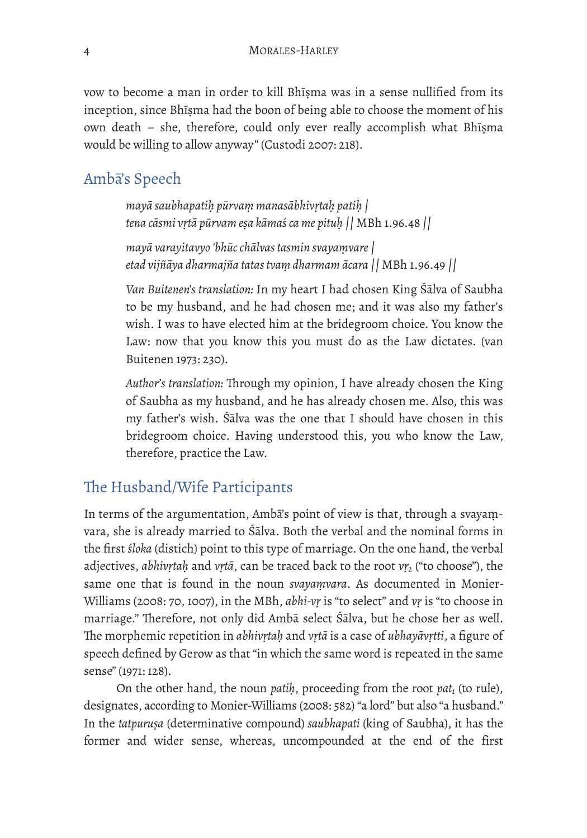vow to become a man in order to kill Bhīṣma was in a sense nullified from its inception, since Bhīṣma had the boon of being able to choose the moment of his own death – she, therefore, could only ever really accomplish what Bhīṣma would be willing to allow anyway" (Custodi 2007: 218).

## Ambā's Speech

*mayā saubhapatiḥ pūrvaṃ manasābhivṛtaḥ patiḥ | tena cāsmi vṛtā pūrvam eṣa kāmaś ca me pituḥ ||* MBh 1.96.48 *||* 

*mayā varayitavyo 'bhūc chālvas tasmin svayaṃvare| etad vijñāya dharmajña tatas tvaṃ dharmam ācara ||* MBh 1.96.49 *||* 

*Van Buitenen's translation:* In my heart I had chosen King Śālva of Saubha to be my husband, and he had chosen me; and it was also my father's wish. I was to have elected him at the bridegroom choice. You know the Law: now that you know this you must do as the Law dictates. (van Buitenen 1973: 230).

Author's translation: Through my opinion, I have already chosen the King of Saubha as my husband, and he has already chosen me. Also, this was my father's wish. Śālva was the one that I should have chosen in this bridegroom choice. Having understood this, you who know the Law, therefore, practice the Law.

## The Husband/Wife Participants

In terms of the argumentation, Ambā's point of view is that, through a svayaṃvara, she is already married to Śālva. Both the verbal and the nominal forms in the first *śloka* (distich) point to this type of marriage. On the one hand, the verbal adjectives, *abhivṛtaḥ* and *vṛtā*, can be traced back to the root *vṛ2* ("to choose"), the same one that is found in the noun *svayaṃvara*. As documented in Monier-Williams (2008: 70, 1007), in the MBh, *abhi-vṛ* is "to select" and *vṛ* is "to choose in marriage." Therefore, not only did Ambā select Śālva, but he chose her as well. Te morphemic repetition in *abhivṛtaḥ* and *vṛtā* is a case of *ubhayāvṛtti*, a figure of speech defined by Gerow as that "in which the same word is repeated in the same sense" (1971: 128).

On the other hand, the noun *patih*, proceeding from the root *pat<sub>1</sub>* (to rule), designates, according to Monier-Williams (2008: 582) "a lord" but also "a husband." In the *tatpuruṣa* (determinative compound) *saubhapati* (king of Saubha), it has the former and wider sense, whereas, uncompounded at the end of the first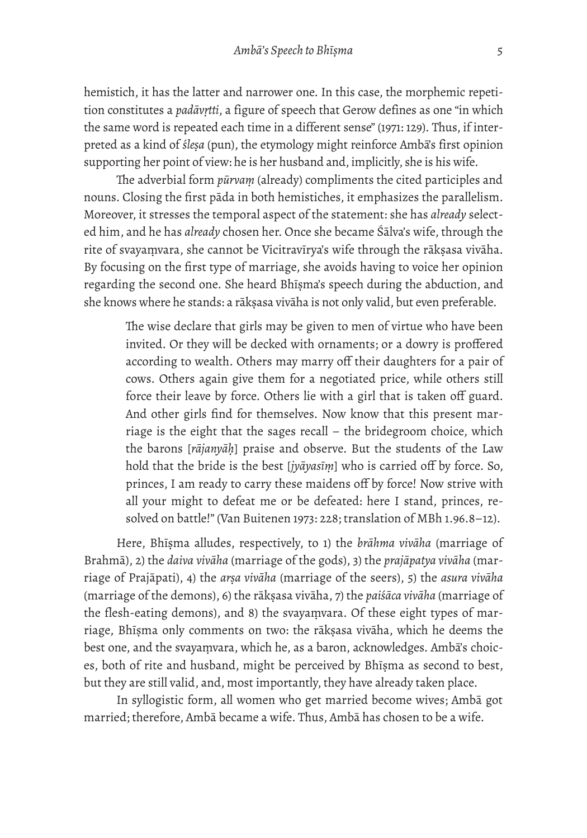hemistich, it has the latter and narrower one. In this case, the morphemic repetition constitutes a *padāvṛtti*, a figure of speech that Gerow defines as one "in which the same word is repeated each time in a different sense" (1971: 129). Thus, if interpreted as a kind of *śleṣa* (pun), the etymology might reinforce Ambā's first opinion supporting her point of view: he is her husband and, implicitly, she is his wife.

The adverbial form *pūrvam* (already) compliments the cited participles and nouns. Closing the first pāda in both hemistiches, it emphasizes the parallelism. Moreover, it stresses the temporal aspect of the statement: she has *already* selected him, and he has *already* chosen her. Once she became Śālva's wife, through the rite of svayaṃvara, she cannot be Vicitravīrya's wife through the rākṣasa vivāha. By focusing on the first type of marriage, she avoids having to voice her opinion regarding the second one. She heard Bhīṣma's speech during the abduction, and she knows where he stands: a rākṣasa vivāha is not only valid, but even preferable.

The wise declare that girls may be given to men of virtue who have been invited. Or they will be decked with ornaments; or a dowry is proffered according to wealth. Others may marry off their daughters for a pair of cows. Others again give them for a negotiated price, while others still force their leave by force. Others lie with a girl that is taken off guard. And other girls find for themselves. Now know that this present marriage is the eight that the sages recall – the bridegroom choice, which the barons [*rājanyāḥ*] praise and observe. But the students of the Law hold that the bride is the best [*jyāyasīṃ*] who is carried off by force. So, princes, I am ready to carry these maidens off by force! Now strive with all your might to defeat me or be defeated: here I stand, princes, resolved on battle!" (Van Buitenen 1973: 228; translation of MBh 1.96.8–12).

Here, Bhīṣma alludes, respectively, to 1) the *brāhma vivāha* (marriage of Brahmā), 2) the *daiva vivāha* (marriage of the gods), 3) the *prajāpatya vivāha* (marriage of Prajāpati), 4) the *arṣa vivāha* (marriage of the seers), 5) the *asura vivāha* (marriage of the demons), 6) the rākṣasa vivāha, 7) the *paiśāca vivāha* (marriage of the flesh-eating demons), and 8) the svayaṃvara. Of these eight types of marriage, Bhīṣma only comments on two: the rākṣasa vivāha, which he deems the best one, and the svayaṃvara, which he, as a baron, acknowledges. Ambā's choices, both of rite and husband, might be perceived by Bhīṣma as second to best, but they are still valid, and, most importantly, they have already taken place.

In syllogistic form, all women who get married become wives; Ambā got married; therefore, Ambā became a wife. Thus, Ambā has chosen to be a wife.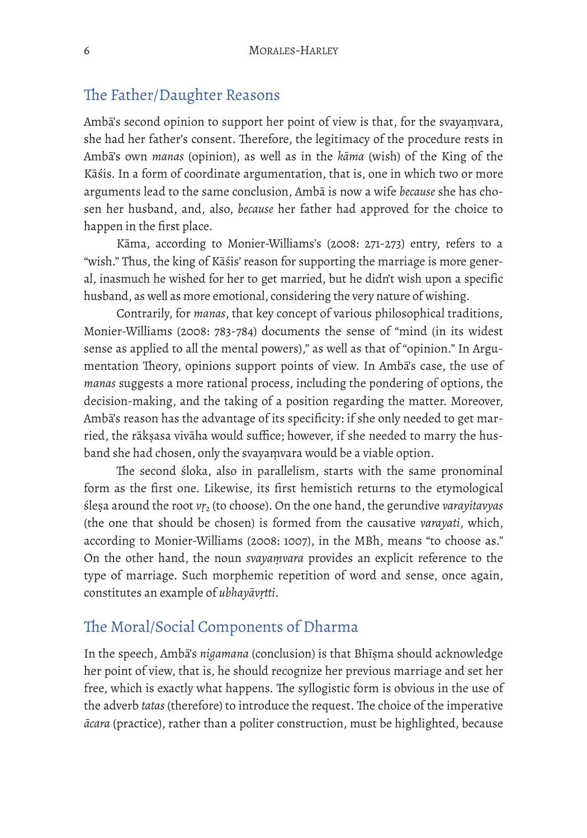#### The Father/Daughter Reasons

Ambā's second opinion to support her point of view is that, for the svayaṃvara, she had her father's consent. Therefore, the legitimacy of the procedure rests in Ambā's own *manas* (opinion), as well as in the *kāma* (wish) of the King of the Kāśis. In a form of coordinate argumentation, that is, one in which two or more arguments lead to the same conclusion, Ambā is now a wife *because* she has chosen her husband, and, also, *because* her father had approved for the choice to happen in the first place.

Kāma, according to Monier-Williams's (2008: 271-273) entry, refers to a "wish." Thus, the king of Kāśis' reason for supporting the marriage is more general, inasmuch he wished for her to get married, but he didn't wish upon a specific husband, as well as more emotional, considering the very nature of wishing.

Contrarily, for *manas*, that key concept of various philosophical traditions, Monier-Williams (2008: 783-784) documents the sense of "mind (in its widest sense as applied to all the mental powers)," as well as that of "opinion." In Argumentation Theory, opinions support points of view. In Amba's case, the use of *manas* suggests a more rational process, including the pondering of options, the decision-making, and the taking of a position regarding the matter. Moreover, Ambā's reason has the advantage of its specificity: if she only needed to get married, the rākṣasa vivāha would suffice; however, if she needed to marry the husband she had chosen, only the svayaṃvara would be a viable option.

The second śloka, also in parallelism, starts with the same pronominal form as the first one. Likewise, its first hemistich returns to the etymological śleṣa around the root *vṛ2* (to choose). On the one hand, the gerundive *varayitavyas* (the one that should be chosen) is formed from the causative *varayati*, which, according to Monier-Williams (2008: 1007), in the MBh, means "to choose as." On the other hand, the noun *svayaṃvara* provides an explicit reference to the type of marriage. Such morphemic repetition of word and sense, once again, constitutes an example of *ubhayāvṛtti*.

# The Moral/Social Components of Dharma

In the speech, Ambā's *nigamana* (conclusion) is that Bhīṣma should acknowledge her point of view, that is, he should recognize her previous marriage and set her free, which is exactly what happens. The syllogistic form is obvious in the use of the adverb *tatas* (therefore) to introduce the request. The choice of the imperative *ācara* (practice), rather than a politer construction, must be highlighted, because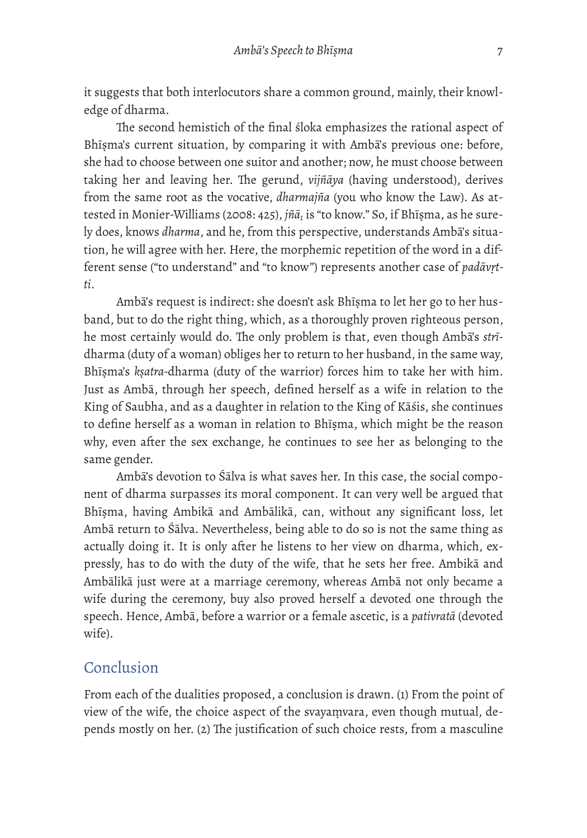it suggests that both interlocutors share a common ground, mainly, their knowledge of dharma.

The second hemistich of the final śloka emphasizes the rational aspect of Bhīṣma's current situation, by comparing it with Ambā's previous one: before, she had to choose between one suitor and another; now, he must choose between taking her and leaving her. The gerund, *vijñāya* (having understood), derives from the same root as the vocative, *dharmajña* (you who know the Law). As attested in Monier-Williams (2008: 425), *jñā1* is "to know." So, if Bhīṣma, as he surely does, knows *dharma*, and he, from this perspective, understands Ambā's situation, he will agree with her. Here, the morphemic repetition of the word in a different sense ("to understand" and "to know") represents another case of *padāvṛtti*.

Ambā's request is indirect: she doesn't ask Bhīṣma to let her go to her husband, but to do the right thing, which, as a thoroughly proven righteous person, he most certainly would do. The only problem is that, even though Amba's *stri*dharma (duty of a woman) obliges her to return to her husband, in the same way, Bhīṣma's *kṣatra-*dharma (duty of the warrior) forces him to take her with him. Just as Ambā, through her speech, defined herself as a wife in relation to the King of Saubha, and as a daughter in relation to the King of Kāśis, she continues to define herself as a woman in relation to Bhīṣma, which might be the reason why, even after the sex exchange, he continues to see her as belonging to the same gender.

Ambā's devotion to Śālva is what saves her. In this case, the social component of dharma surpasses its moral component. It can very well be argued that Bhīṣma, having Ambikā and Ambālikā, can, without any significant loss, let Ambā return to Śālva. Nevertheless, being able to do so is not the same thing as actually doing it. It is only after he listens to her view on dharma, which, expressly, has to do with the duty of the wife, that he sets her free. Ambikā and Ambālikā just were at a marriage ceremony, whereas Ambā not only became a wife during the ceremony, buy also proved herself a devoted one through the speech. Hence, Ambā, before a warrior or a female ascetic, is a *pativratā* (devoted wife).

## Conclusion

From each of the dualities proposed, a conclusion is drawn. (1) From the point of view of the wife, the choice aspect of the svayaṃvara, even though mutual, depends mostly on her. (2) The justification of such choice rests, from a masculine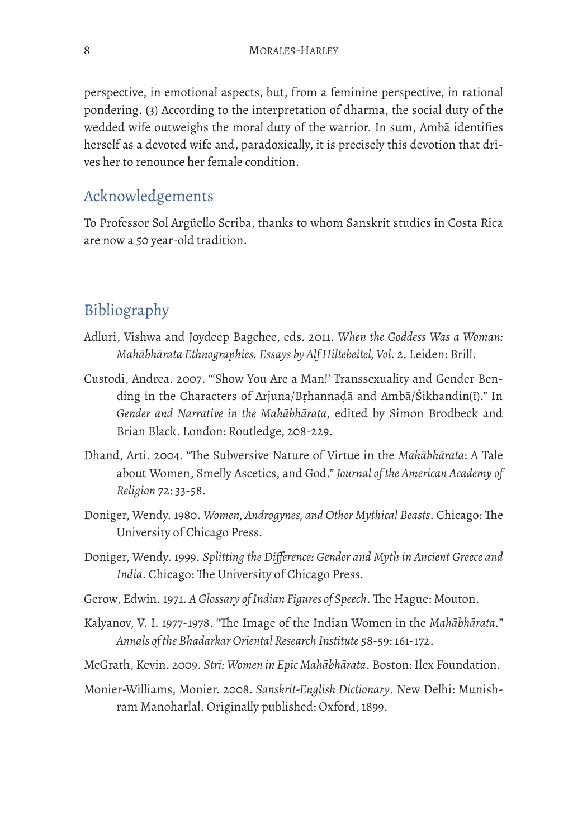perspective, in emotional aspects, but, from a feminine perspective, in rational pondering. (3) According to the interpretation of dharma, the social duty of the wedded wife outweighs the moral duty of the warrior. In sum, Ambā identifies herself as a devoted wife and, paradoxically, it is precisely this devotion that drives her to renounce her female condition.

## Acknowledgements

To Professor Sol Argüello Scriba, thanks to whom Sanskrit studies in Costa Rica are now a 50 year-old tradition.

# Bibliography

- Adluri, Vishwa and Joydeep Bagchee, eds. 2011. *When the Goddess Was a Woman: Mahābhārata Ethnographies. Essays by Alf Hiltebeitel, Vol. 2*. Leiden: Brill.
- Custodi, Andrea. 2007. "'Show You Are a Man!' Transsexuality and Gender Bending in the Characters of Arjuna/Bṛhannaḍā and Ambā/Śikhandin(ī)." In *Gender and Narrative in the Mahābhārata*, edited by Simon Brodbeck and Brian Black. London: Routledge, 208-229.
- Dhand, Arti. 2004. "Te Subversive Nature of Virtue in the *Mahābhārata*: A Tale about Women, Smelly Ascetics, and God." *Journal of the American Academy of Religion* 72: 33-58.
- Doniger, Wendy. 1980. *Women, Androgynes, and Other Mythical Beasts*. Chicago: The University of Chicago Press.
- Doniger, Wendy. 1999. *Splitting the Difference: Gender and Myth in Ancient Greece and India*. Chicago: The University of Chicago Press.
- Gerow, Edwin. 1971. A Glossary of Indian Figures of Speech. The Hague: Mouton.
- Kalyanov, V. I. 1977-1978. "The Image of the Indian Women in the *Mahābhārata.*" *Annals of the Bhadarkar Oriental Research Institute* 58-59: 161-172.
- McGrath, Kevin. 2009. *Strī: Women in Epic Mahābhārata*. Boston: Ilex Foundation.
- Monier-Williams, Monier. 2008. *Sanskrit-English Dictionary*. New Delhi: Munishram Manoharlal. Originally published: Oxford, 1899.